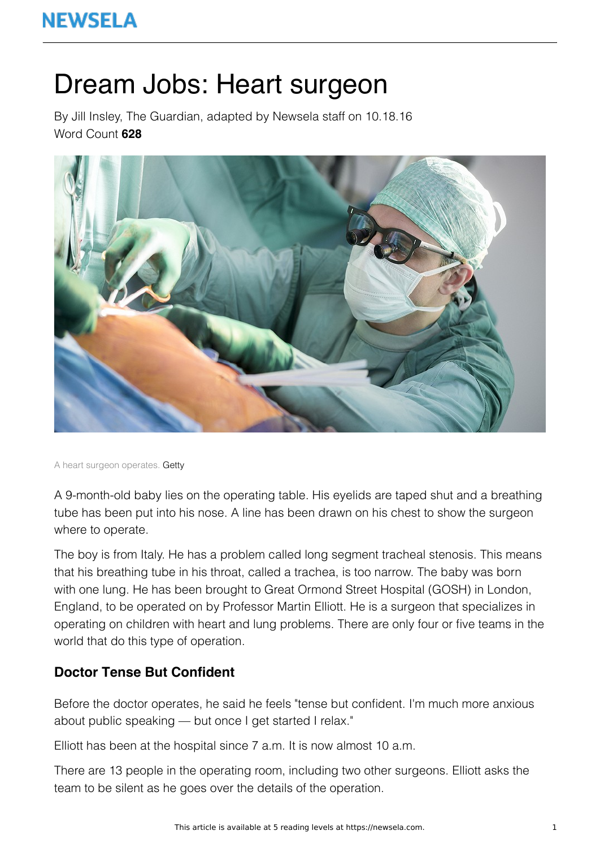# Dream Jobs: Heart surgeon

By Jill Insley, The Guardian, adapted by Newsela staff on 10.18.16 Word Count **628**



A heart surgeon operates. Getty

A 9-month-old baby lies on the operating table. His eyelids are taped shut and a breathing tube has been put into his nose. A line has been drawn on his chest to show the surgeon where to operate.

The boy is from Italy. He has a problem called long segment tracheal stenosis. This means that his breathing tube in his throat, called a trachea, is too narrow. The baby was born with one lung. He has been brought to Great Ormond Street Hospital (GOSH) in London, England, to be operated on by Professor Martin Elliott. He is a surgeon that specializes in operating on children with heart and lung problems. There are only four or five teams in the world that do this type of operation.

## **Doctor Tense But Confident**

Before the doctor operates, he said he feels "tense but confident. I'm much more anxious about public speaking — but once I get started I relax."

Elliott has been at the hospital since 7 a.m. It is now almost 10 a.m.

There are 13 people in the operating room, including two other surgeons. Elliott asks the team to be silent as he goes over the details of the operation.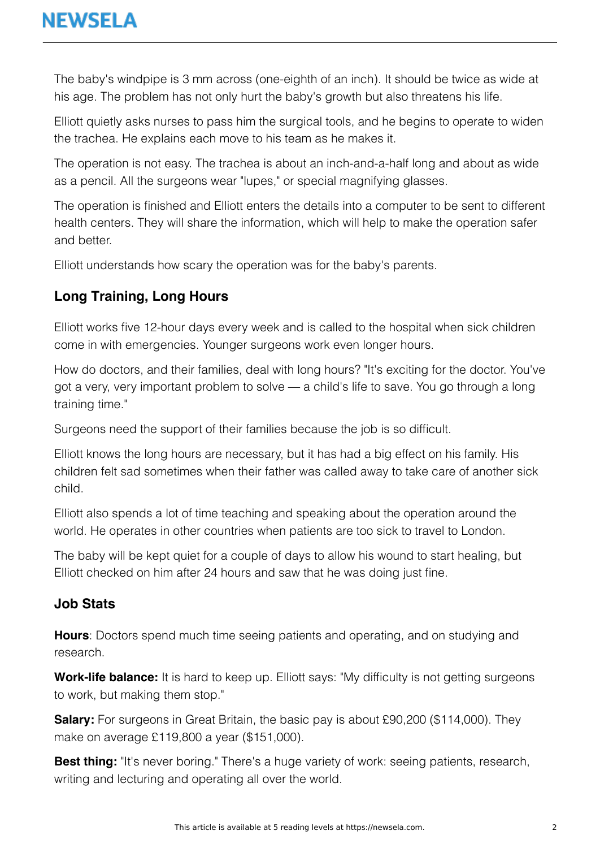The baby's windpipe is 3 mm across (one-eighth of an inch). It should be twice as wide at his age. The problem has not only hurt the baby's growth but also threatens his life.

Elliott quietly asks nurses to pass him the surgical tools, and he begins to operate to widen the trachea. He explains each move to his team as he makes it.

The operation is not easy. The trachea is about an inch-and-a-half long and about as wide as a pencil. All the surgeons wear "lupes," or special magnifying glasses.

The operation is finished and Elliott enters the details into a computer to be sent to different health centers. They will share the information, which will help to make the operation safer and better.

Elliott understands how scary the operation was for the baby's parents.

# **Long Training, Long Hours**

Elliott works five 12-hour days every week and is called to the hospital when sick children come in with emergencies. Younger surgeons work even longer hours.

How do doctors, and their families, deal with long hours? "It's exciting for the doctor. You've got a very, very important problem to solve — a child's life to save. You go through a long training time."

Surgeons need the support of their families because the job is so difficult.

Elliott knows the long hours are necessary, but it has had a big effect on his family. His children felt sad sometimes when their father was called away to take care of another sick child.

Elliott also spends a lot of time teaching and speaking about the operation around the world. He operates in other countries when patients are too sick to travel to London.

The baby will be kept quiet for a couple of days to allow his wound to start healing, but Elliott checked on him after 24 hours and saw that he was doing just fine.

#### **Job Stats**

**Hours**: Doctors spend much time seeing patients and operating, and on studying and research.

**Work-life balance:** It is hard to keep up. Elliott says: "My difficulty is not getting surgeons to work, but making them stop."

**Salary:** For surgeons in Great Britain, the basic pay is about £90,200 (\$114,000). They make on average £119,800 a year (\$151,000).

**Best thing:** "It's never boring." There's a huge variety of work: seeing patients, research, writing and lecturing and operating all over the world.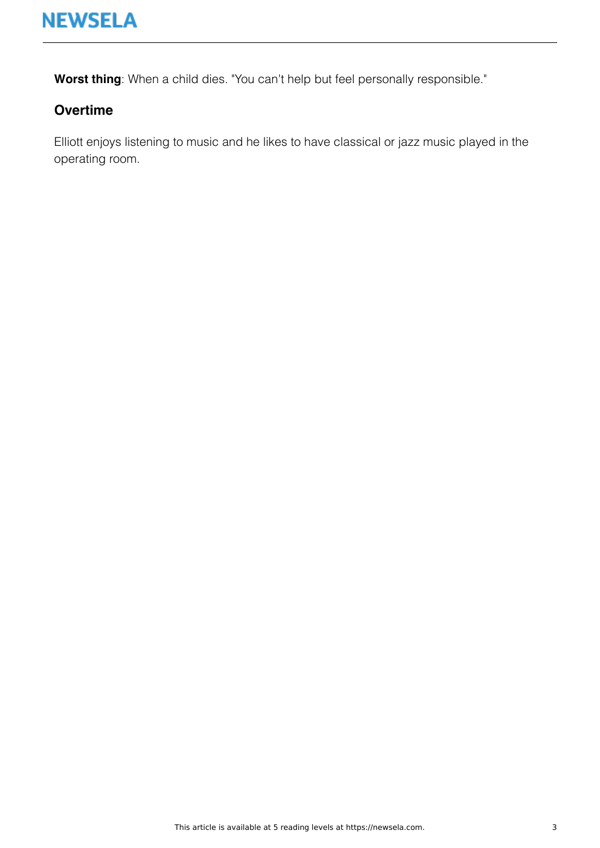

**Worst thing**: When a child dies. "You can't help but feel personally responsible."

### **Overtime**

Elliott enjoys listening to music and he likes to have classical or jazz music played in the operating room.